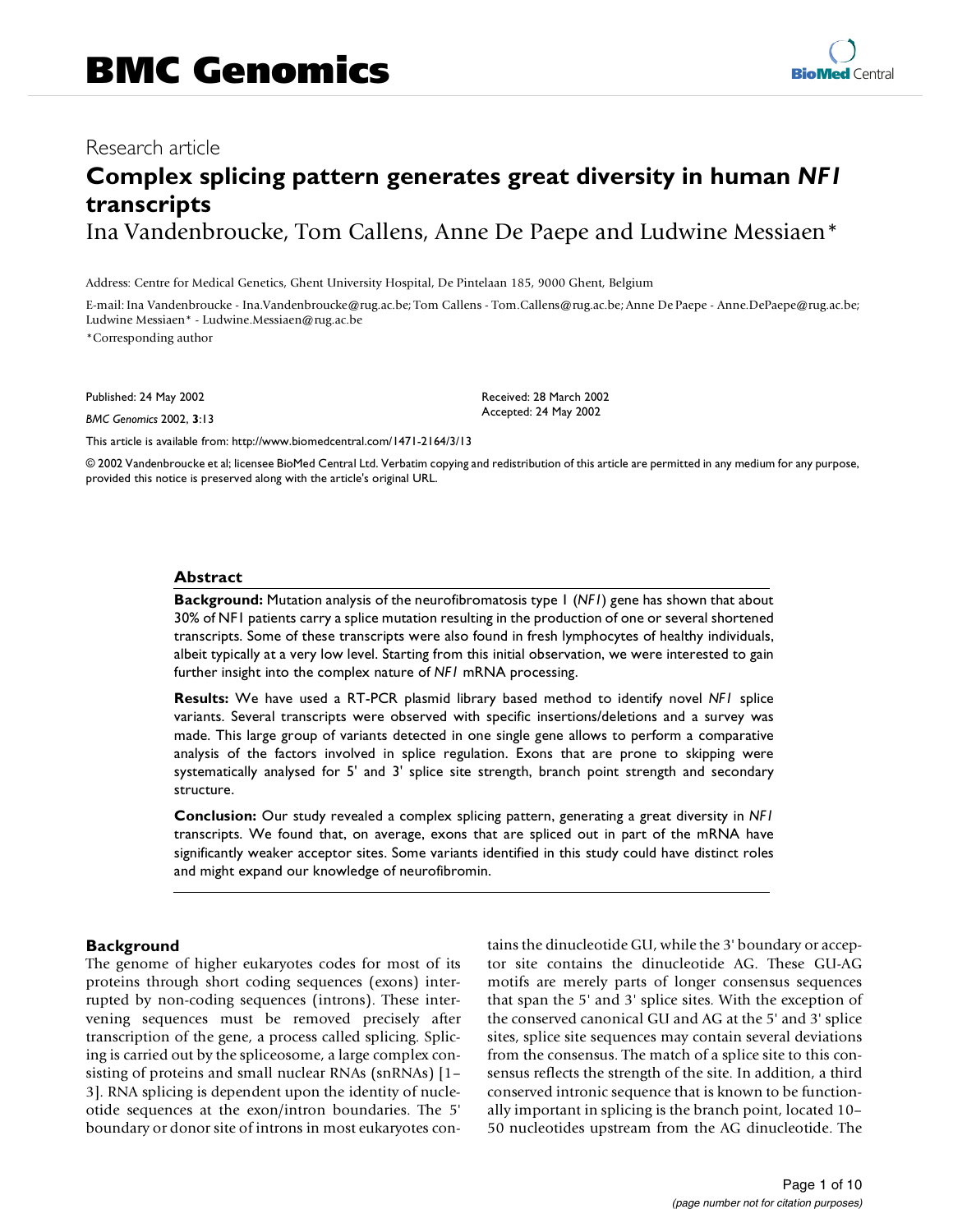## Research article

# **Complex splicing pattern generates great diversity in human** *NF1* **transcripts** Ina Vandenbroucke, Tom Callens, Anne De Paepe and Ludwine Messiaen\*

Address: Centre for Medical Genetics, Ghent University Hospital, De Pintelaan 185, 9000 Ghent, Belgium

E-mail: Ina Vandenbroucke - Ina.Vandenbroucke@rug.ac.be; Tom Callens - Tom.Callens@rug.ac.be; Anne De Paepe - Anne.DePaepe@rug.ac.be; Ludwine Messiaen\* - Ludwine.Messiaen@rug.ac.be

\*Corresponding author

Published: 24 May 2002

*BMC Genomics* 2002, **3**:13

Received: 28 March 2002 Accepted: 24 May 2002

[This article is available from: http://www.biomedcentral.com/1471-2164/3/13](http://www.biomedcentral.com/1471-2164/3/13)

© 2002 Vandenbroucke et al; licensee BioMed Central Ltd. Verbatim copying and redistribution of this article are permitted in any medium for any purpose, provided this notice is preserved along with the article's original URL.

#### **Abstract**

**Background:** Mutation analysis of the neurofibromatosis type 1 (*NF1*) gene has shown that about 30% of NF1 patients carry a splice mutation resulting in the production of one or several shortened transcripts. Some of these transcripts were also found in fresh lymphocytes of healthy individuals, albeit typically at a very low level. Starting from this initial observation, we were interested to gain further insight into the complex nature of *NF1* mRNA processing.

**Results:** We have used a RT-PCR plasmid library based method to identify novel *NF1* splice variants. Several transcripts were observed with specific insertions/deletions and a survey was made. This large group of variants detected in one single gene allows to perform a comparative analysis of the factors involved in splice regulation. Exons that are prone to skipping were systematically analysed for 5' and 3' splice site strength, branch point strength and secondary structure.

**Conclusion:** Our study revealed a complex splicing pattern, generating a great diversity in *NF1* transcripts. We found that, on average, exons that are spliced out in part of the mRNA have significantly weaker acceptor sites. Some variants identified in this study could have distinct roles and might expand our knowledge of neurofibromin.

#### **Background**

The genome of higher eukaryotes codes for most of its proteins through short coding sequences (exons) interrupted by non-coding sequences (introns). These intervening sequences must be removed precisely after transcription of the gene, a process called splicing. Splicing is carried out by the spliceosome, a large complex consisting of proteins and small nuclear RNAs (snRNAs) [1– 3]. RNA splicing is dependent upon the identity of nucleotide sequences at the exon/intron boundaries. The 5' boundary or donor site of introns in most eukaryotes contains the dinucleotide GU, while the 3' boundary or acceptor site contains the dinucleotide AG. These GU-AG motifs are merely parts of longer consensus sequences that span the 5' and 3' splice sites. With the exception of the conserved canonical GU and AG at the 5' and 3' splice sites, splice site sequences may contain several deviations from the consensus. The match of a splice site to this consensus reflects the strength of the site. In addition, a third conserved intronic sequence that is known to be functionally important in splicing is the branch point, located 10– 50 nucleotides upstream from the AG dinucleotide. The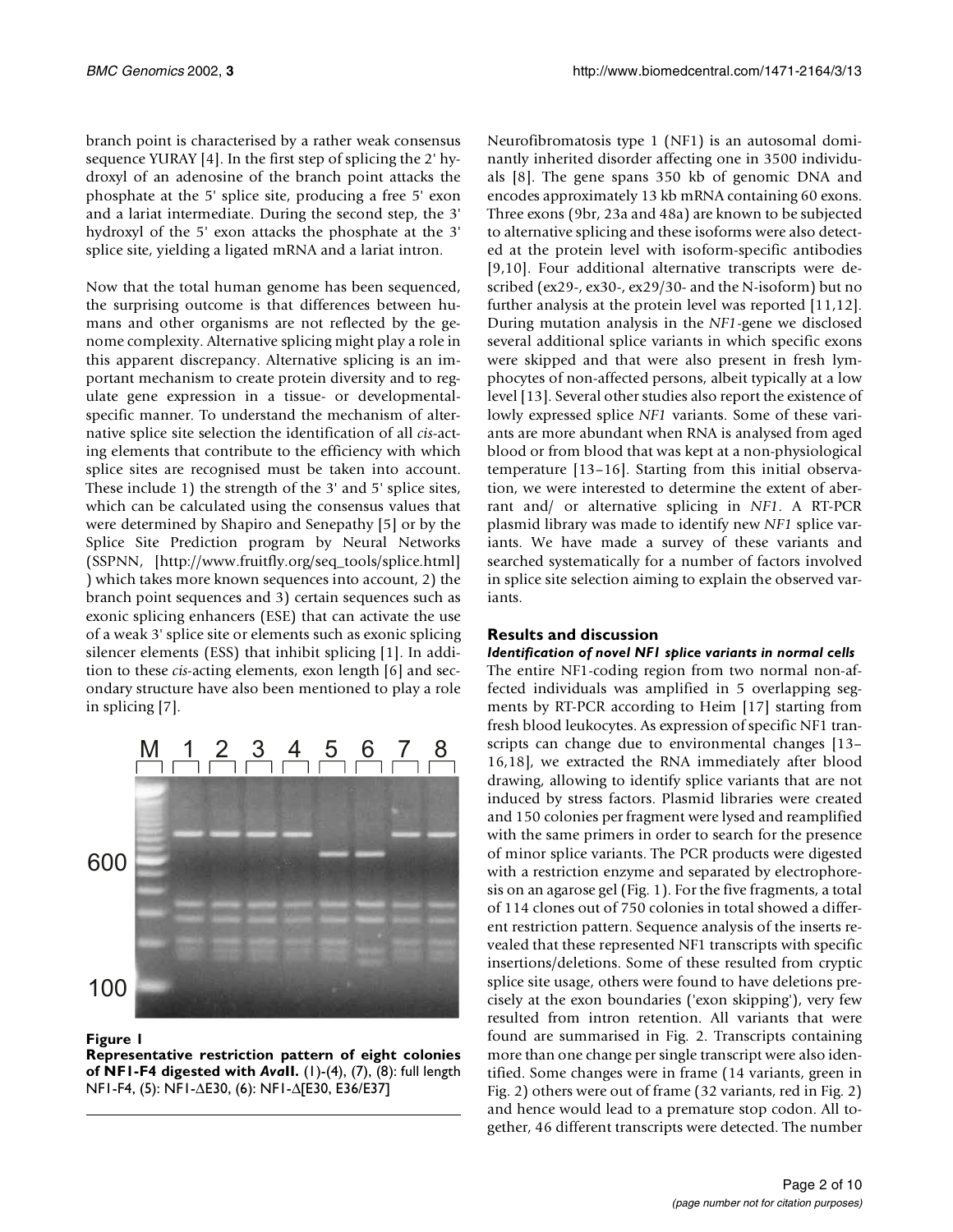branch point is characterised by a rather weak consensus sequence YURAY [4]. In the first step of splicing the 2' hydroxyl of an adenosine of the branch point attacks the phosphate at the 5' splice site, producing a free 5' exon and a lariat intermediate. During the second step, the 3' hydroxyl of the 5' exon attacks the phosphate at the 3' splice site, yielding a ligated mRNA and a lariat intron.

Now that the total human genome has been sequenced, the surprising outcome is that differences between humans and other organisms are not reflected by the genome complexity. Alternative splicing might play a role in this apparent discrepancy. Alternative splicing is an important mechanism to create protein diversity and to regulate gene expression in a tissue- or developmentalspecific manner. To understand the mechanism of alternative splice site selection the identification of all *cis*[-act](http://www.fruitfly.org/seq_tools/splice.html)[ing elements that contribute to the efficiency with which](http://www.fruitfly.org/seq_tools/splice.html) splice sites are recognised must be taken into account. These include 1) the strength of the 3' and 5' splice sites, which can be calculated using the consensus values that were determined by Shapiro and Senepathy [5] or by the Splice Site Prediction program by Neural Networks (SSPNN, [http://www.fruitfly.org/seq\_tools/splice.html] ) which takes more known sequences into account, 2) the branch point sequences and 3) certain sequences such as exonic splicing enhancers (ESE) that can activate the use of a weak 3' splice site or elements such as exonic splicing silencer elements (ESS) that inhibit splicing [1]. In addi[tion to these](http://www.fruitfly.org/seq_tools/splice.html) *cis*-acting elements, exon length [6] and secondary structure have also been mentioned to play a role in splicing [7].



#### **Figure 1**

**Representative restriction pattern of eight colonies of NF1-F4 digested with** *Ava***II.** (1)-(4), (7), (8): full length NF1-F4, (5): NF1-∆E30, (6): NF1-∆[E30, E36/E37]

Neurofibromatosis type 1 (NF1) is an autosomal dominantly inherited disorder affecting one in 3500 individuals [8]. The gene spans 350 kb of genomic DNA and encodes approximately 13 kb mRNA containing 60 exons. Three exons (9br, 23a and 48a) are known to be subjected to alternative splicing and these isoforms were also detected at the protein level with isoform-specific antibodies [9,10]. Four additional alternative transcripts were described (ex29-, ex30-, ex29/30- and the N-isoform) but no further analysis at the protein level was reported [11,12]. During mutation analysis in the *NF1*-gene we disclosed several additional splice variants in which specific exons were skipped and that were also present in fresh lymphocytes of non-affected persons, albeit typically at a low level [13]. Several other studies also report the existence of lowly expressed splice *NF1* variants. Some of these variants are more abundant when RNA is analysed from aged blood or from blood that was kept at a non-physiological temperature [13–16]. Starting from this initial observation, we were interested to determine the extent of aberrant and/ or alternative splicing in *NF1*. A RT-PCR plasmid library was made to identify new *NF1* splice variants. We have made a survey of these variants and searched systematically for a number of factors involved in splice site selection aiming to explain the observed variants.

#### **Results and discussion**

#### *Identification of novel NF1 splice variants in normal cells*

The entire NF1-coding region from two normal non-affected individuals was amplified in 5 overlapping segments by RT-PCR according to Heim [17] starting from fresh blood leukocytes. As expression of specific NF1 transcripts can change due to environmental changes [13– 16,18], we extracted the RNA immediately after blood drawing, allowing to identify splice variants that are not induced by stress factors. Plasmid libraries were created and 150 colonies per fragment were lysed and reamplified with the same primers in order to search for the presence of minor splice variants. The PCR products were digested with a restriction enzyme and separated by electrophoresis on an agarose gel (Fig. 1). For the five fragments, a total of 114 clones out of 750 colonies in total showed a different restriction pattern. Sequence analysis of the inserts revealed that these represented NF1 transcripts with specific insertions/deletions. Some of these resulted from cryptic splice site usage, others were found to have deletions precisely at the exon boundaries ('exon skipping'), very few resulted from intron retention. All variants that were found are summarised in Fig. 2. Transcripts containing more than one change per single transcript were also identified. Some changes were in frame (14 variants, green in Fig. 2) others were out of frame (32 variants, red in Fig. 2) and hence would lead to a premature stop codon. All together, 46 different transcripts were detected. The number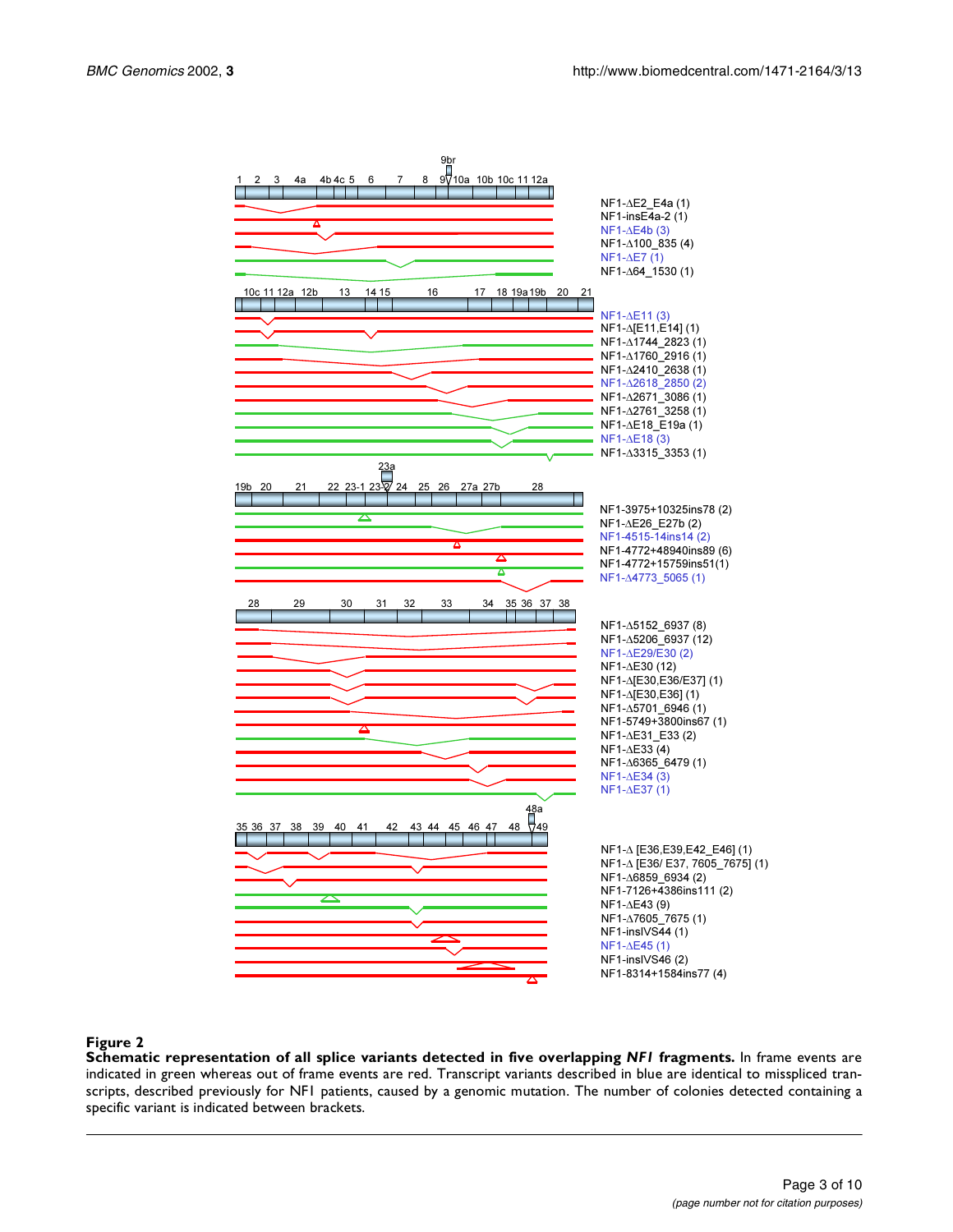

#### **Figure 2**

**Schematic representation of all splice variants detected in five overlapping** *NF1* **fragments.** In frame events are indicated in green whereas out of frame events are red. Transcript variants described in blue are identical to misspliced transcripts, described previously for NF1 patients, caused by a genomic mutation. The number of colonies detected containing a specific variant is indicated between brackets.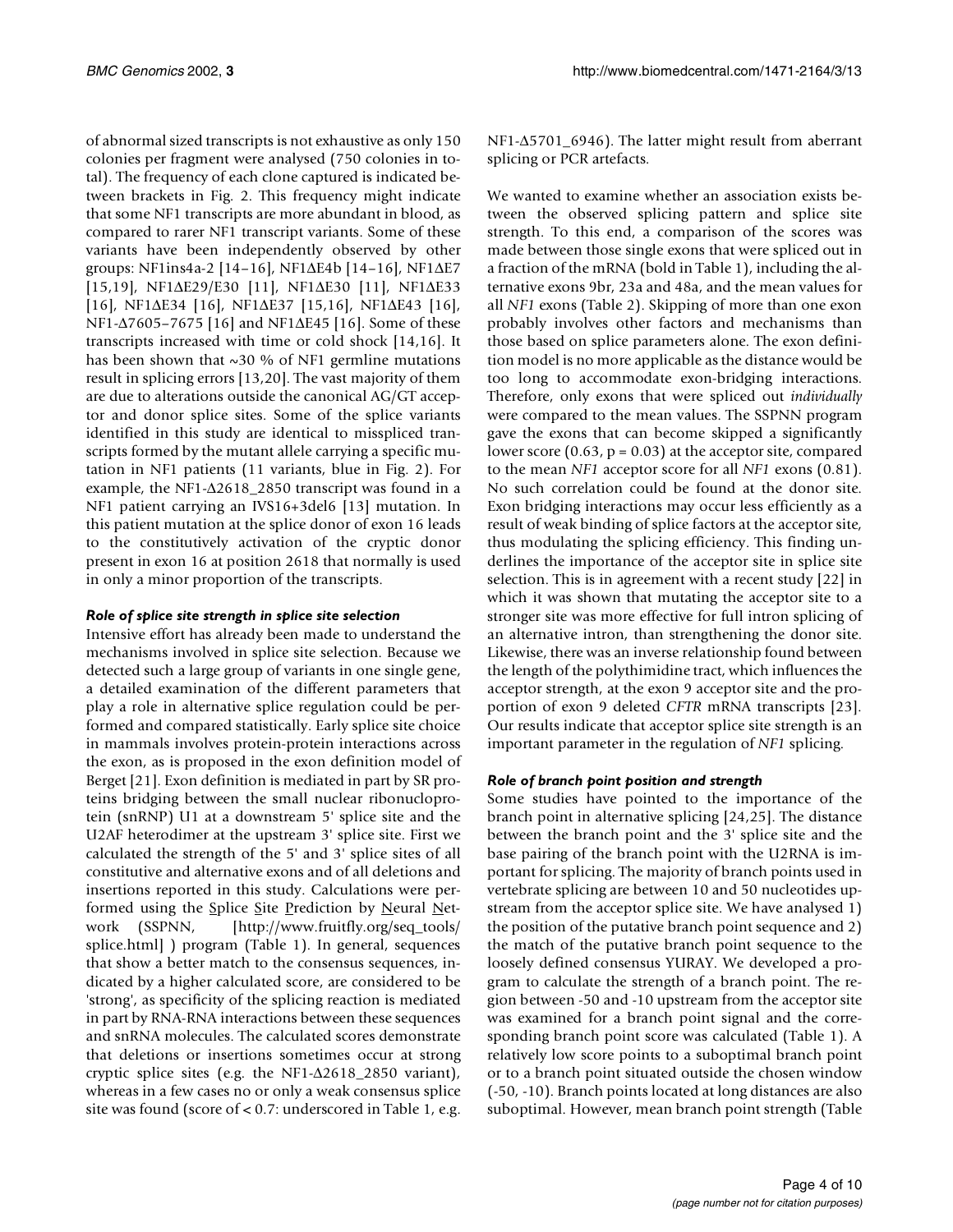of abnormal sized transcripts is not exhaustive as only 150 colonies per fragment were analysed (750 colonies in total). The frequency of each clone captured is indicated between brackets in Fig. 2. This frequency might indicate that some NF1 transcripts are more abundant in blood, as compared to rarer NF1 transcript variants. Some of these variants have been independently observed by other groups: NF1ins4a-2 [14–16], NF1∆E4b [14–16], NF1∆E7 [15,19], NF1∆E29/E30 [11], NF1∆E30 [11], NF1∆E33 [16], NF1∆E34 [16], NF1∆E37 [15,16], NF1∆E43 [16], NF1-∆7605–7675 [16] and NF1∆E45 [16]. Some of these transcripts increased with time or cold shock [14,16]. It has been shown that  $\sim$ 30 % of NF1 germline mutations result in splicing errors [13,20]. The vast majority of them are due to alterations outside the canonical AG/GT acceptor and donor splice sites. Some of the splice variants identified in this study are identical to misspliced transcripts formed by the mutant allele carrying a specific mutation in NF1 patients (11 variants, blue in Fig. 2). For example, the NF1-∆2618\_2850 transcript was found in a NF1 patient carrying an IVS16+3del6 [13] mutation. In this patient mutation at the splice donor of exon 16 leads to the constitutively activation of the cryptic donor present in exon 16 at position 2618 that normally is used in only a minor proportion of the transcripts.

#### *Role of splice site strength in splice site selection*

Intensive effort has already been made to understand the mechanisms involved in splice site selection. Because we detected such a large group of variants in one single gene, a detailed examination of the different parameters that play a role in alternative splice regulation could be performed and compared statistically. Early splice site choice in mammals involves protein-protein interactions across the exon, as is proposed in the exon definition model of Berget [21]. Exon definition is mediated in part by SR proteins bridging between the small nuclear ribonucloprotein (snRNP) U1 at a downstream 5' splice site and the U2AF heterodimer at the upstream 3' splice site. First we calculated the strength of the 5' and 3' splice sites of all constitutive and alternative exons and of all deletions and insertions reported in this study. Calculations were per-formed using the Splice Site Prediction by Neural [Net](http://www.fruitfly.org/seq_tools/splice.html)work (SSPNN, [http://www.fruitfly.org/seq\_tools/ splice.html] ) program (Table [1](#page-3-0)). In general, sequences that show a better match to the consensus sequences, indicated by a higher calculated score, are considered to be 'strong', as specificity of the splicing reaction is mediated in part by RNA-RNA interactions between these sequences and snRNA molecules. The calculated scores demonstrate [that deletions or insertions sometimes occur at strong](http://www.fruitfly.org/seq_tools/splice.html) [cryptic splice sites \(e.g. the NF1-](http://www.fruitfly.org/seq_tools/splice.html)∆2618\_2850 variant), whereas in a few cases no or only a weak consensus splice site was found (score of < 0.7: underscored in Table [1](#page-3-0), e.g.

NF1-∆5701\_6946). The latter might result from aberrant splicing or PCR artefacts.

<span id="page-3-0"></span>We wanted to examine whether an association exists between the observed splicing pattern and splice site strength. To this end, a comparison of the scores was made between those single exons that were spliced out in a fraction of the mRNA (bold in Table [1](#page-3-0)), including the alternative exons 9br, 23a and 48a, and the mean values for all *NF1* exons (Table [2\)](#page-3-0). Skipping of more than one exon probably involves other factors and mechanisms than those based on splice parameters alone. The exon definition model is no more applicable as the distance would be too long to accommodate exon-bridging interactions. Therefore, only exons that were spliced out *individually* were compared to the mean values. The SSPNN program gave the exons that can become skipped a significantly lower score  $(0.63, p = 0.03)$  at the acceptor site, compared to the mean *NF1* acceptor score for all *NF1* exons (0.81). No such correlation could be found at the donor site. Exon bridging interactions may occur less efficiently as a result of weak binding of splice factors at the acceptor site, thus modulating the splicing efficiency. This finding underlines the importance of the acceptor site in splice site selection. This is in agreement with a recent study [22] in which it was shown that mutating the acceptor site to a stronger site was more effective for full intron splicing of an alternative intron, than strengthening the donor site. Likewise, there was an inverse relationship found between the length of the polythimidine tract, which influences the acceptor strength, at the exon 9 acceptor site and the proportion of exon 9 deleted *CFTR* mRNA transcripts [23]. Our results indicate that acceptor splice site strength is an important parameter in the regulation of *NF1* splicing.

#### *Role of branch point position and strength*

Some studies have pointed to the importance of the branch point in alternative splicing [24,25]. The distance between the branch point and the 3' splice site and the base pairing of the branch point with the U2RNA is important for splicing. The majority of branch points used in vertebrate splicing are between 10 and 50 nucleotides upstream from the acceptor splice site. We have analysed 1) the position of the putative branch point sequence and 2) the match of the putative branch point sequence to the loosely defined consensus YURAY. We developed a program to calculate the strength of a branch point. The region between -50 and -10 upstream from the acceptor site was examined for a branch point signal and the corresponding branch point score was calculated (Table [1](#page-3-0)). A relatively low score points to a suboptimal branch point or to a branch point situated outside the chosen window (-50, -10). Branch points located at long distances are also suboptimal. However, mean branch point strength (Table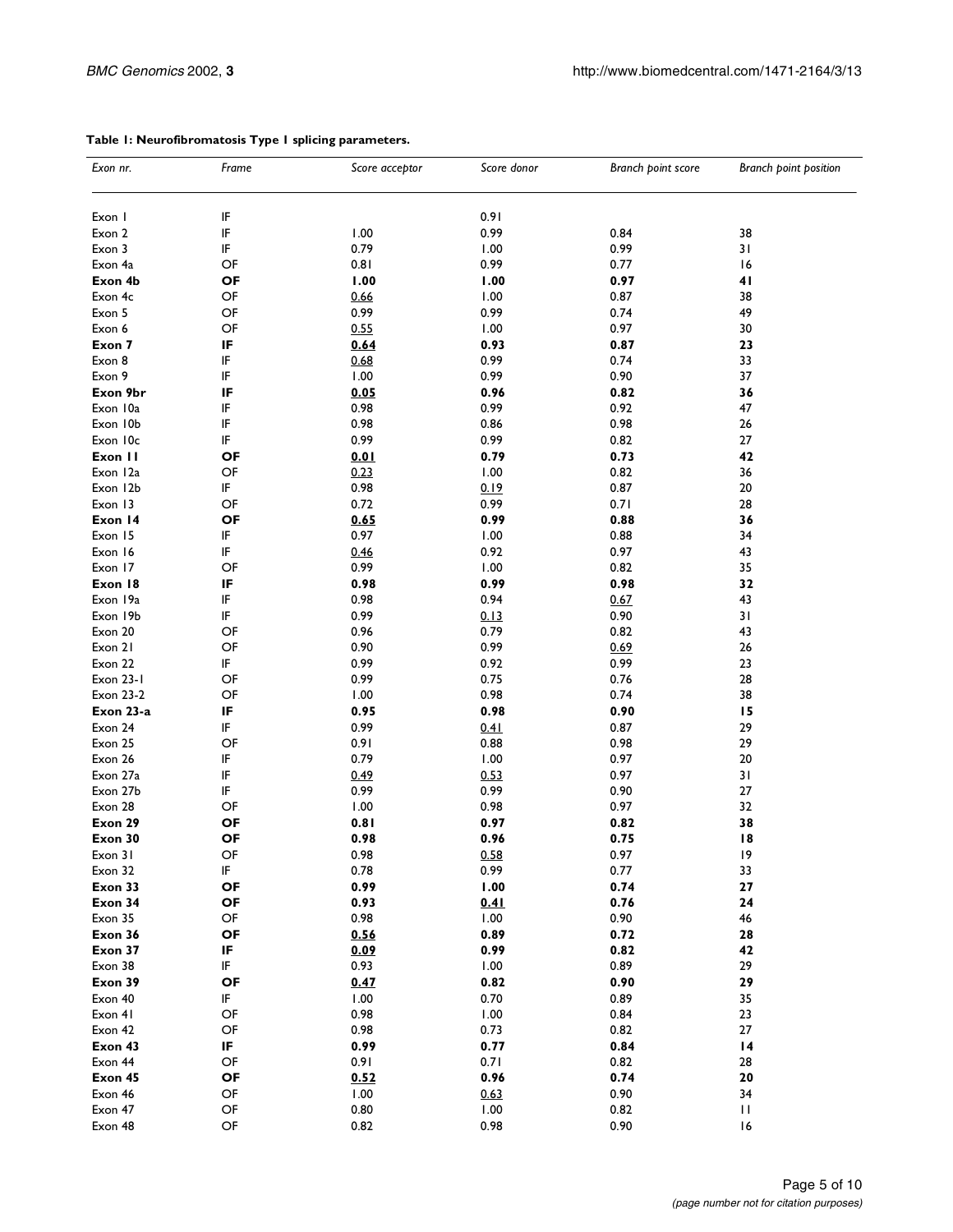| Exon nr.         | Frame                                            | Score acceptor | Score donor  | Branch point score | Branch point position |  |
|------------------|--------------------------------------------------|----------------|--------------|--------------------|-----------------------|--|
| Exon I           | IF                                               |                | 0.91         |                    |                       |  |
| Exon 2           | IF                                               | 1.00           | 0.99<br>0.84 |                    | 38                    |  |
| Exon 3           | IF                                               | 0.79           | 0.99<br>1.00 |                    | 31                    |  |
| Exon 4a          | OF                                               | 0.81           | 0.99<br>0.77 |                    | 16                    |  |
| Exon 4b          | OF                                               | 1.00           |              | 1.00<br>0.97       |                       |  |
| Exon 4c          | OF                                               | 0.66           | 1.00         | 0.87               |                       |  |
| Exon 5           | OF                                               | 0.99           | 0.99         | 0.74               | 38<br>49              |  |
| Exon 6           | OF                                               | 0.55           | 1.00         | 0.97               | 30                    |  |
|                  | IF                                               | 0.64           | 0.93         | 0.87               | 23                    |  |
| Exon 7           | IF                                               |                |              |                    |                       |  |
| Exon 8           |                                                  | 0.68           | 0.99         | 0.74               | 33                    |  |
| Exon 9           | IF                                               | 1.00           | 0.99         | 0.90               | 37                    |  |
| Exon 9br         | IF                                               | 0.05           | 0.96         | 0.82               | 36                    |  |
| Exon 10a         | IF                                               | 0.98           | 0.99         | 0.92               | 47                    |  |
| Exon 10b         | IF                                               | 0.98           | 0.86         | 0.98               | 26                    |  |
| Exon 10c         | IF                                               | 0.99           | 0.99         | 0.82               | 27                    |  |
| Exon II          | ΟF                                               | 0.01           | 0.79         | 0.73               | 42                    |  |
| Exon 12a         | OF                                               | 0.23           | 1.00         | 0.82               | 36                    |  |
| Exon 12b         | IF                                               | 0.98           | 0.19         | 0.87               | 20                    |  |
| Exon 13          | OF                                               | 0.72           | 0.99         | 0.71               | 28                    |  |
| Exon 14          | ΟF                                               | 0.65           | 0.99         | 0.88               | 36                    |  |
| Exon 15          | IF                                               | 0.97           | 1.00         | 0.88               | 34                    |  |
| Exon 16          | IF                                               | 0.46           | 0.92         | 0.97               | 43                    |  |
| Exon 17          | OF                                               | 0.99           | 1.00         | 0.82               | 35                    |  |
| Exon 18          | IF                                               | 0.98           | 0.99         | 0.98               | 32                    |  |
| Exon 19a         | IF                                               | 0.98           | 0.94         | 0.67               | 43                    |  |
| Exon 19b         | IF                                               | 0.99           | 0.13         | 0.90               | 31                    |  |
| Exon 20          | OF                                               | 0.96           | 0.79         | 0.82               | 43                    |  |
| Exon 21          | OF                                               | 0.90           | 0.99         | 0.69               | 26                    |  |
| Exon 22          | IF                                               | 0.99           | 0.92         | 0.99               | 23                    |  |
| Exon 23-1        | OF                                               | 0.99           | 0.75         | 0.76               | 28                    |  |
|                  | OF                                               |                |              |                    |                       |  |
| <b>Exon 23-2</b> |                                                  | 1.00           | 0.98         | 0.74               | 38                    |  |
| Exon 23-a        | IF                                               | 0.95           | 0.98         | 0.90               | 15                    |  |
| Exon 24          | IF                                               | 0.99           | 0.41         | 0.87               | 29                    |  |
| Exon 25          | OF                                               | 0.91           | 0.88         | 0.98               | 29                    |  |
| Exon 26          | IF                                               | 0.79           | 1.00         | 0.97               | 20                    |  |
| Exon 27a         | IF                                               | 0.49           | 0.53         | 0.97               | 31                    |  |
| Exon 27b         | IF                                               | 0.99           | 0.99         | 0.90               | 27                    |  |
| Exon 28          | OF                                               | 1.00           | 0.98         | 0.97               | 32                    |  |
| Exon 29          | OF                                               | 0.81           | 0.97         | 0.82               | 38                    |  |
| Exon 30          | OF                                               | 0.98           | 0.96         | 0.75               | 18                    |  |
| Exon 31          | OF                                               | 0.98           | 0.58         | 0.97               | 19                    |  |
| Exon 32          | IF                                               | 0.78           | 0.99         | 0.77               | 33                    |  |
| Exon 33          | OF                                               | 0.99           | 1.00         | 0.74               | 27                    |  |
| Exon 34          | OF                                               | 0.93           | 0.41         | 0.76               | 24                    |  |
| Exon 35          | OF                                               | 0.98           | 1.00         | 0.90               | 46                    |  |
| Exon 36          | OF                                               | 0.56           | 0.89         | 0.72               | 28                    |  |
| Exon 37          | IF                                               | 0.09           | 0.99         | 0.82               | 42                    |  |
| Exon 38          | IF                                               | 0.93           | 1.00         | 0.89               | 29                    |  |
| Exon 39          | OF                                               | 0.47           | 0.82         | 0.90               | 29                    |  |
| Exon 40          | IF                                               | 1.00           | 0.70         | 0.89               | 35                    |  |
| Exon 41          | OF                                               | 0.98           | 1.00         | 0.84               | 23                    |  |
| Exon 42          | OF                                               | 0.98           | 0.73         | 0.82               | 27                    |  |
|                  | IF                                               |                |              |                    |                       |  |
| Exon 43          |                                                  | 0.99           | 0.77         | 0.84               | 4                     |  |
| Exon 44          | $\mathsf{OF}% _{T}\left( \mathcal{M}_{T}\right)$ | 0.91           | 0.71         | 0.82               | 28                    |  |
| Exon 45          | OF                                               | 0.52           | 0.96         | 0.74               | 20                    |  |
| Exon 46          | OF                                               | 1.00           | 0.63         | 0.90               | 34                    |  |
| Exon 47          | $\mathsf{OF}% _{T}\left( \mathcal{M}_{T}\right)$ | 0.80           | 1.00         | 0.82               | П                     |  |
| Exon 48          | OF                                               | 0.82           | 0.98         | 0.90               | 16                    |  |

#### **Table 1: Neurofibromatosis Type 1 splicing parameters.**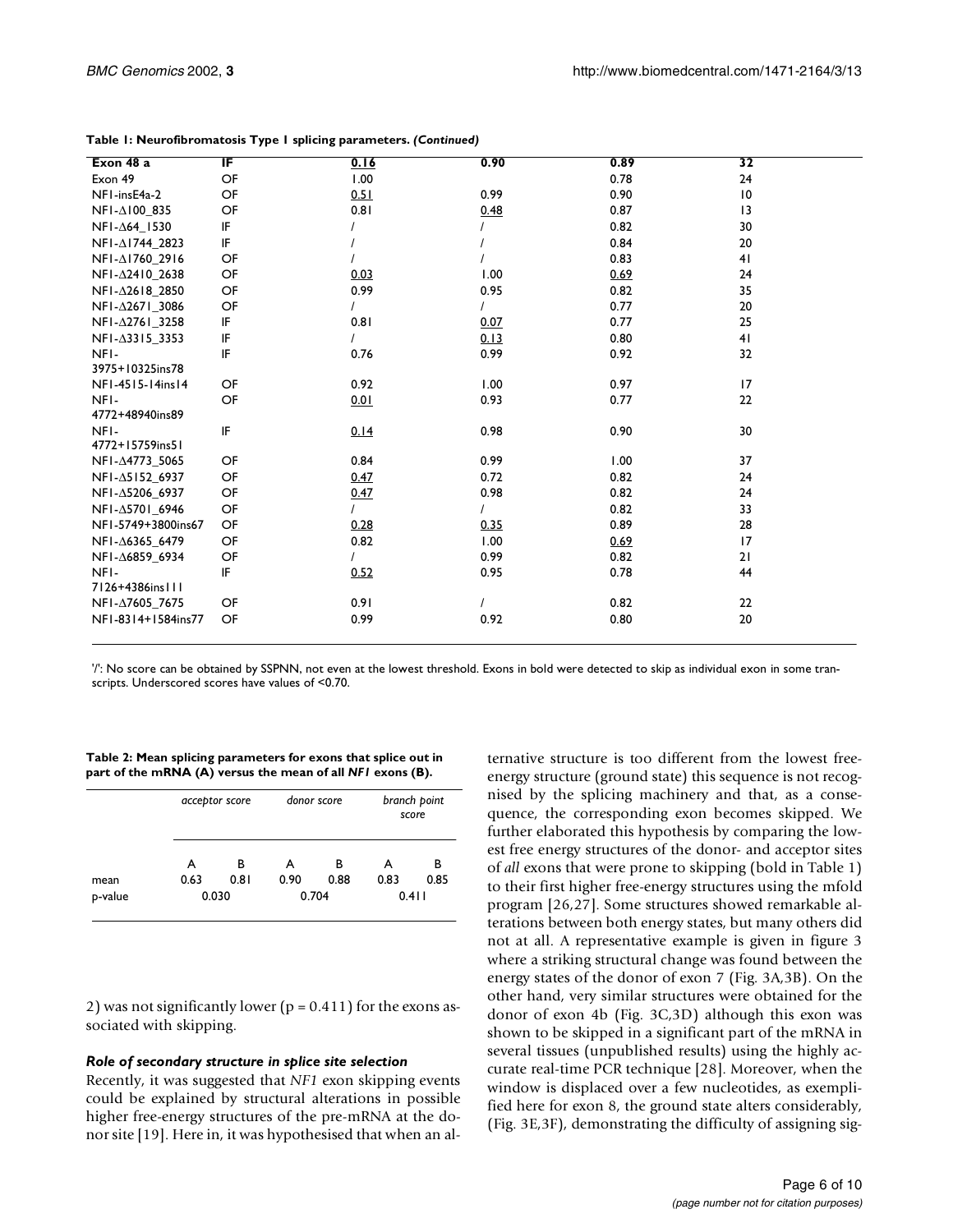| Exon 48 a                  | ΙF | 0.16 | 0.90     | 0.89 | 32              |
|----------------------------|----|------|----------|------|-----------------|
| Exon 49                    | OF | 1.00 |          | 0.78 | 24              |
| NFI-insE4a-2               | OF | 0.51 | 0.99     | 0.90 | 10              |
| NFI-∆100_835               | OF | 0.81 | 0.48     | 0.87 | $\overline{13}$ |
| NFI-∆64_1530               | IF |      |          | 0.82 | 30              |
| NFI-∆1744_2823             | IF |      |          | 0.84 | 20              |
| NFI-∆1760 2916             | OF |      |          | 0.83 | 41              |
| NFI-∆2410_2638             | OF | 0.03 | 1.00     | 0.69 | 24              |
| NFI-∆2618_2850             | OF | 0.99 | 0.95     | 0.82 | 35              |
| NFI-∆2671_3086             | OF |      |          | 0.77 | 20              |
| NFI-∆2761_3258             | IF | 0.81 | 0.07     | 0.77 | 25              |
| NFI- $\triangle$ 3315_3353 | IF |      | 0.13     | 0.80 | 41              |
| NFI-                       | IF | 0.76 | 0.99     | 0.92 | 32              |
| 3975+10325ins78            |    |      |          |      |                 |
| NF1-4515-14ins14           | OF | 0.92 | 1.00     | 0.97 | 17              |
| NFI-                       | OF | 0.01 | 0.93     | 0.77 | 22              |
| 4772+48940ins89            |    |      |          |      |                 |
| NFI-                       | IF | 0.14 | 0.98     | 0.90 | 30              |
| 4772+15759ins51            |    |      |          |      |                 |
| NFI-∆4773_5065             | OF | 0.84 | 0.99     | 1.00 | 37              |
| NFI-△5152_6937             | OF | 0.47 | 0.72     | 0.82 | 24              |
| NFI-△5206 6937             | OF | 0.47 | 0.98     | 0.82 | 24              |
| NFI-∆5701_6946             | OF |      |          | 0.82 | 33              |
| NF1-5749+3800ins67         | OF | 0.28 | 0.35     | 0.89 | 28              |
| NFI-△6365 6479             | OF | 0.82 | 1.00     | 0.69 | 17              |
| NFI-∆6859_6934             | OF |      | 0.99     | 0.82 | 21              |
| NFI-                       | IF | 0.52 | 0.95     | 0.78 | 44              |
| 7126+4386ins111            |    |      |          |      |                 |
| NFI-∆7605_7675             | OF | 0.91 | $\prime$ | 0.82 | 22              |
| NF1-8314+1584ins77         | OF | 0.99 | 0.92     | 0.80 | 20              |
|                            |    |      |          |      |                 |

|  |  |  | Table 1: Neurofibromatosis Type 1 splicing parameters. (Continued) |  |
|--|--|--|--------------------------------------------------------------------|--|
|  |  |  |                                                                    |  |

'/': No score can be obtained by SSPNN, not even at the lowest threshold. Exons in bold were detected to skip as individual exon in some transcripts. Underscored scores have values of <0.70.

**Table 2: Mean splicing parameters for exons that splice out in part of the mRNA (A) versus the mean of all** *NF1* **exons (B).**

|                 | acceptor score |                    | donor score |                    | branch point<br>score |                    |
|-----------------|----------------|--------------------|-------------|--------------------|-----------------------|--------------------|
| mean<br>p-value | A<br>0.63      | в<br>0.81<br>0.030 | А<br>0.90   | в<br>0.88<br>0.704 | А<br>0.83             | в<br>0.85<br>0.411 |

[2](#page-3-0)) was not significantly lower ( $p = 0.411$ ) for the exons associated with skipping.

#### *Role of secondary structure in splice site selection*

Recently, it was suggested that *NF1* exon skipping events could be explained by structural alterations in possible higher free-energy structures of the pre-mRNA at the donor site [19]. Here in, it was hypothesised that when an alternative structure is too different from the lowest freeenergy structure (ground state) this sequence is not recognised by the splicing machinery and that, as a consequence, the corresponding exon becomes skipped. We further elaborated this hypothesis by comparing the lowest free energy structures of the donor- and acceptor sites of *all* exons that were prone to skipping (bold in Table [1](#page-3-0)) to their first higher free-energy structures using the mfold program [26,27]. Some structures showed remarkable alterations between both energy states, but many others did not at all. A representative example is given in figure 3 where a striking structural change was found between the energy states of the donor of exon 7 (Fig. 3A,3B). On the other hand, very similar structures were obtained for the donor of exon 4b (Fig. 3C,3D) although this exon was shown to be skipped in a significant part of the mRNA in several tissues (unpublished results) using the highly accurate real-time PCR technique [28]. Moreover, when the window is displaced over a few nucleotides, as exemplified here for exon 8, the ground state alters considerably, (Fig. 3E,3F), demonstrating the difficulty of assigning sig-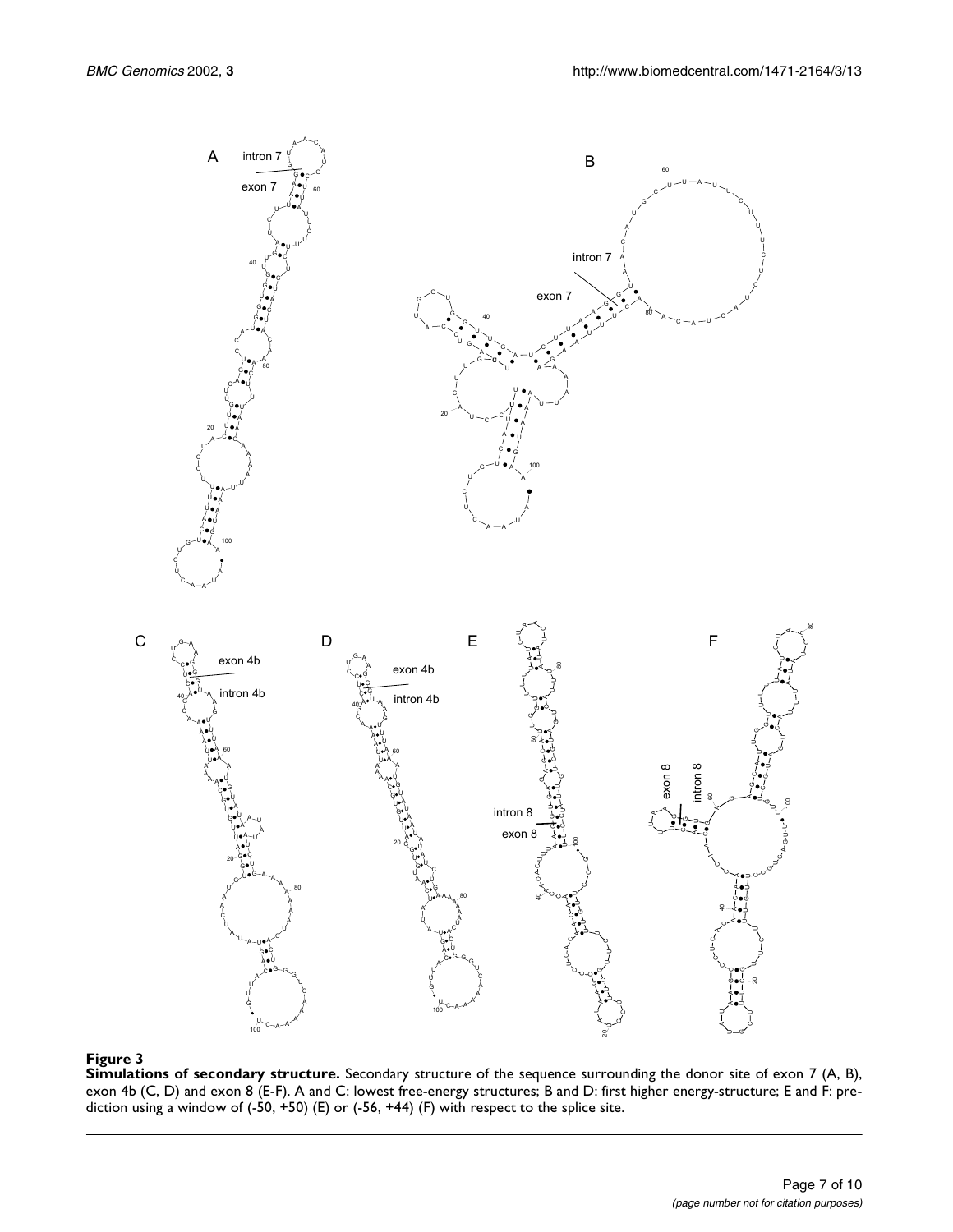

#### **Figure 3**

**Simulations of secondary structure.** Secondary structure of the sequence surrounding the donor site of exon 7 (A, B), exon 4b (C, D) and exon 8 (E-F). A and C: lowest free-energy structures; B and D: first higher energy-structure; E and F: prediction using a window of (-50, +50) (E) or (-56, +44) (F) with respect to the splice site.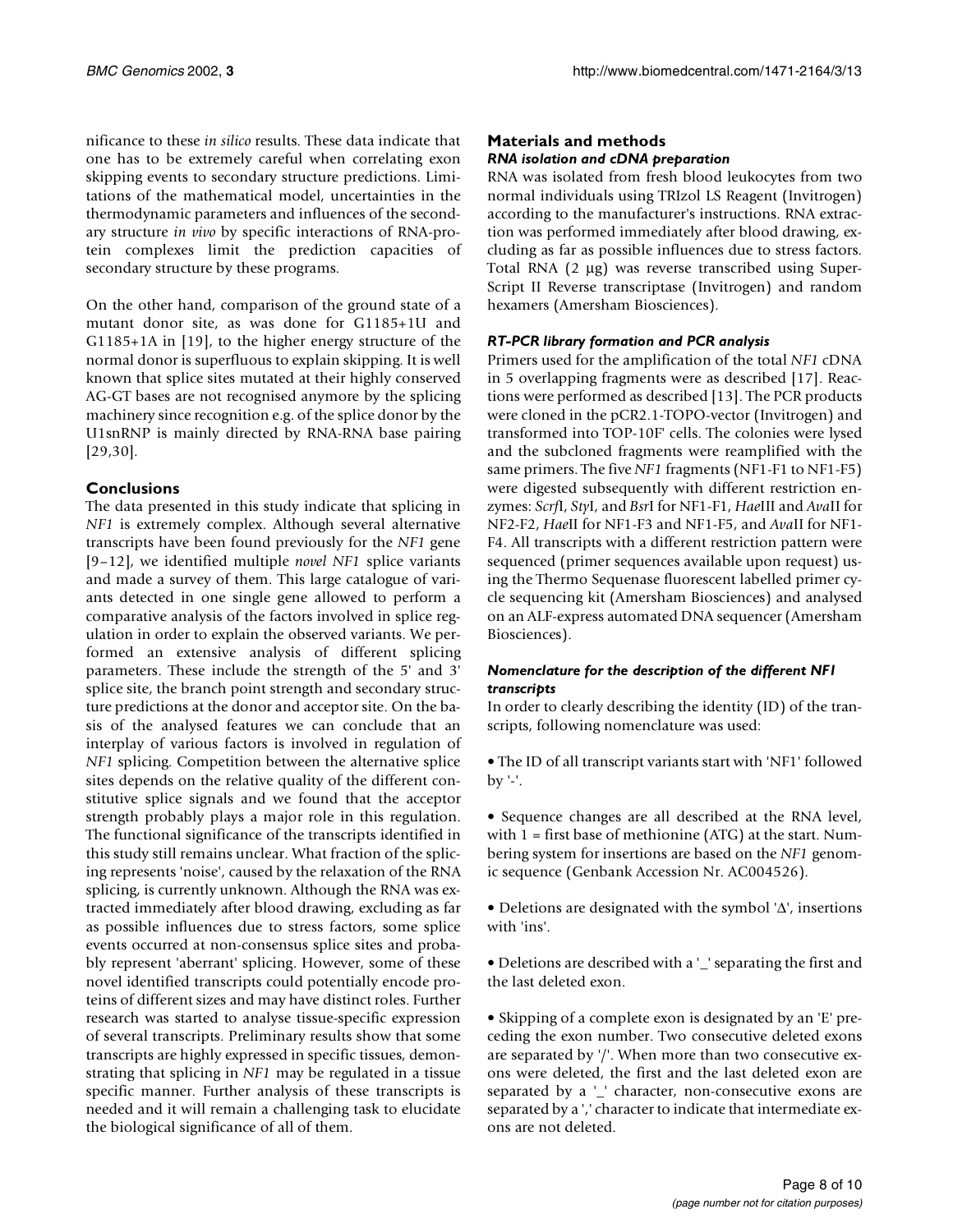nificance to these *in silico* results. These data indicate that one has to be extremely careful when correlating exon skipping events to secondary structure predictions. Limitations of the mathematical model, uncertainties in the thermodynamic parameters and influences of the secondary structure *in vivo* by specific interactions of RNA-protein complexes limit the prediction capacities of secondary structure by these programs.

On the other hand, comparison of the ground state of a mutant donor site, as was done for G1185+1U and G1185+1A in [19], to the higher energy structure of the normal donor is superfluous to explain skipping. It is well known that splice sites mutated at their highly conserved AG-GT bases are not recognised anymore by the splicing machinery since recognition e.g. of the splice donor by the U1snRNP is mainly directed by RNA-RNA base pairing [29,30].

## **Conclusions**

The data presented in this study indicate that splicing in *NF1* is extremely complex. Although several alternative transcripts have been found previously for the *NF1* gene [9–12], we identified multiple *novel NF1* splice variants and made a survey of them. This large catalogue of variants detected in one single gene allowed to perform a comparative analysis of the factors involved in splice regulation in order to explain the observed variants. We performed an extensive analysis of different splicing parameters. These include the strength of the 5' and 3' splice site, the branch point strength and secondary structure predictions at the donor and acceptor site. On the basis of the analysed features we can conclude that an interplay of various factors is involved in regulation of *NF1* splicing. Competition between the alternative splice sites depends on the relative quality of the different constitutive splice signals and we found that the acceptor strength probably plays a major role in this regulation. The functional significance of the transcripts identified in this study still remains unclear. What fraction of the splicing represents 'noise', caused by the relaxation of the RNA splicing, is currently unknown. Although the RNA was extracted immediately after blood drawing, excluding as far as possible influences due to stress factors, some splice events occurred at non-consensus splice sites and probably represent 'aberrant' splicing. However, some of these novel identified transcripts could potentially encode proteins of different sizes and may have distinct roles. Further research was started to analyse tissue-specific expression of several transcripts. Preliminary results show that some transcripts are highly expressed in specific tissues, demonstrating that splicing in *NF1* may be regulated in a tissue specific manner. Further analysis of these transcripts is needed and it will remain a challenging task to elucidate the biological significance of all of them.

## **Materials and methods** *RNA isolation and cDNA preparation*

RNA was isolated from fresh blood leukocytes from two normal individuals using TRIzol LS Reagent (Invitrogen) according to the manufacturer's instructions. RNA extraction was performed immediately after blood drawing, excluding as far as possible influences due to stress factors. Total RNA (2 µg) was reverse transcribed using Super-Script II Reverse transcriptase (Invitrogen) and random hexamers (Amersham Biosciences).

## *RT-PCR library formation and PCR analysis*

Primers used for the amplification of the total *NF1* cDNA in 5 overlapping fragments were as described [17]. Reactions were performed as described [13]. The PCR products were cloned in the pCR2.1-TOPO-vector (Invitrogen) and transformed into TOP-10F' cells. The colonies were lysed and the subcloned fragments were reamplified with the same primers. The five *NF1* fragments (NF1-F1 to NF1-F5) were digested subsequently with different restriction enzymes: *Scrf*I, *Sty*I, and *Bsr*I for NF1-F1, *Hae*III and *Ava*II for NF2-F2, *Hae*II for NF1-F3 and NF1-F5, and *Ava*II for NF1- F4. All transcripts with a different restriction pattern were sequenced (primer sequences available upon request) using the Thermo Sequenase fluorescent labelled primer cycle sequencing kit (Amersham Biosciences) and analysed on an ALF-express automated DNA sequencer (Amersham Biosciences).

### *Nomenclature for the description of the different NF1 transcripts*

In order to clearly describing the identity (ID) of the transcripts, following nomenclature was used:

• The ID of all transcript variants start with 'NF1' followed by '-'.

• Sequence changes are all described at the RNA level, with  $1 =$  first base of methionine (ATG) at the start. Numbering system for insertions are based on the *NF1* genomic sequence (Genbank Accession Nr. AC004526).

• Deletions are designated with the symbol '∆', insertions with 'ins'.

• Deletions are described with a '\_' separating the first and the last deleted exon.

• Skipping of a complete exon is designated by an 'E' preceding the exon number. Two consecutive deleted exons are separated by '/'. When more than two consecutive exons were deleted, the first and the last deleted exon are separated by a '\_' character, non-consecutive exons are separated by a ',' character to indicate that intermediate exons are not deleted.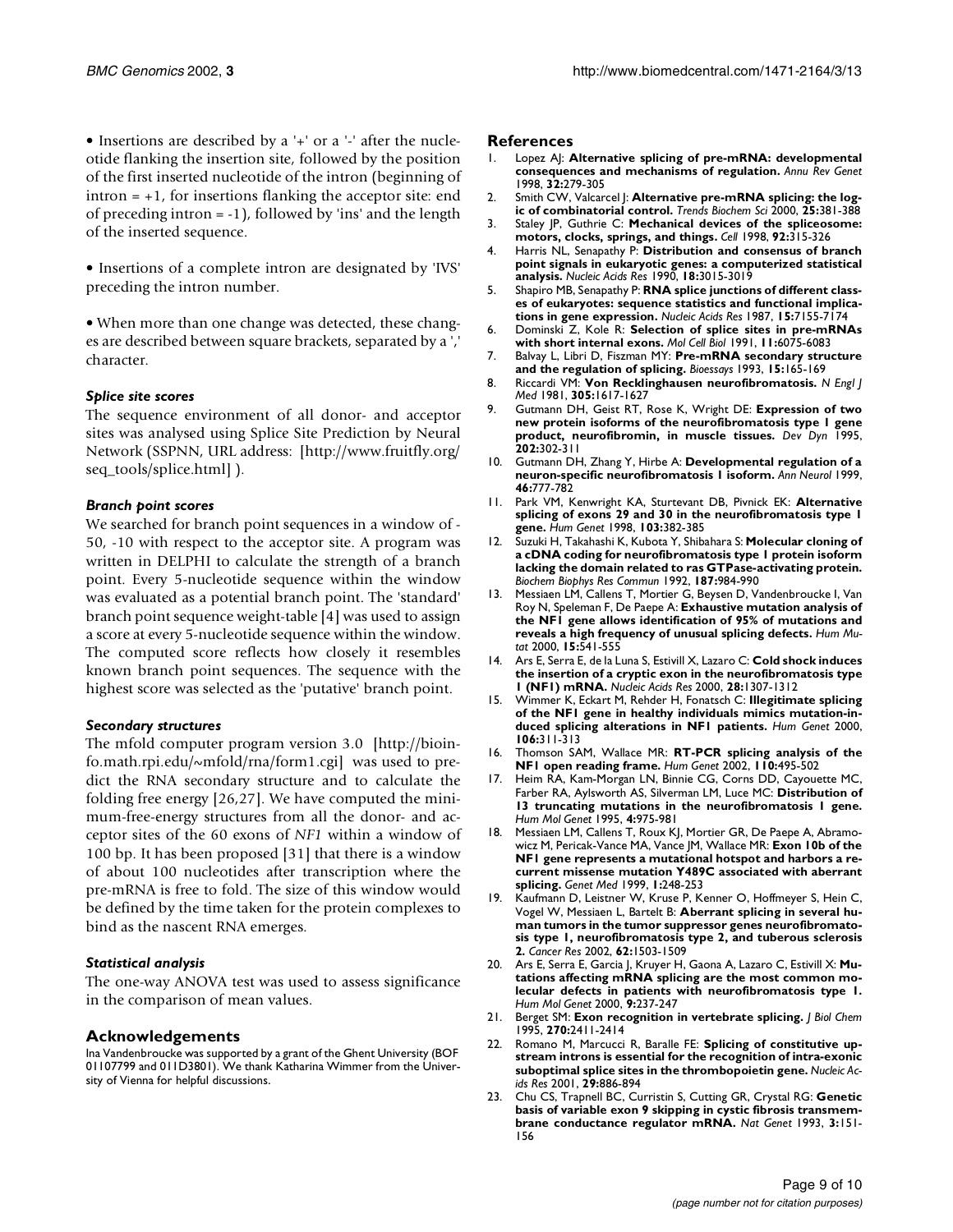• Insertions are described by a '+' or a '-' after the nucleotide flanking the insertion site, followed by the position of the first inserted nucleotide of the intron (beginning of  $\text{intron} = +1$ , for insertions flanking the acceptor site: end of preceding intron = -1), followed by 'ins' and the length of the inserted sequence.

• Insertions of a complete intron are designated by 'IVS' preceding the intron number.

• When more than one change was detected, these changes are described between square brackets, separated by a ',' character.

#### *Splice site scores*

[The sequence environment of all donor- and acceptor](http://www.fruitfly.org/seq_tools/splice.html) sites was analysed using Splice Site Prediction by Neural Network (SSPNN, URL address: [http://www.fruitfly.org/ seq\_tools/splice.html] ).

#### *Branch point scores*

We searched for branch point sequences in a window of - 50, -10 with respect to the acceptor site. A program was written in DELPHI to calculate the strength of a branch point. Every 5-nucleotide sequence within the window was evaluated as a potential branch point. The 'standard' branch point sequence weight-table [4] was used to assign a score at every 5-nucleotide sequence within the window. The computed score reflects how closely it resembles known branch point sequences. The sequence with the highest score was selected as the 'putative' branch point.

#### *Secondary structures*

The mfold computer program version 3.0 [http://bioinfo.math.rpi.edu/~mfold/rna/form1.cgi] was used to pre[dict the RNA secondary structure and to calculate the](http://bioinfo.math.rpi.edu/~mfold/rna/form1.cgi) folding free energy [26,27]. We have computed the minimum-free-energy structures from all the donor- and ac[ceptor sites of the 60 exons of](http://bioinfo.math.rpi.edu/~mfold/rna/form1.cgi) *NF1* within a window of 100 bp. It has been proposed [31] that there is a window of about 100 nucleotides after transcription where the pre-mRNA is free to fold. The size of this window would be defined by the time taken for the protein complexes to bind as the nascent RNA emerges.

#### *Statistical analysis*

The one-way ANOVA test was used to assess significance in the comparison of mean values.

#### **Acknowledgements**

Ina Vandenbroucke was supported by a grant of the Ghent University (BOF 01107799 and 011D3801). We thank Katharina Wimmer from the University of Vienna for helpful discussions.

#### **References**

- 1. [Lopez AJ:](http://www.ncbi.nlm.nih.gov/entrez/query.fcgi?cmd=Retrieve&db=PubMed&dopt=Abstract&list_uids=9928482) **Alternative splicing of pre-mRNA: developmental consequences and mechanisms of regulation.** *Annu Rev Genet* 1998, **32:**279-305
- 2. [Smith CW, Valcarcel J:](http://www.ncbi.nlm.nih.gov/entrez/query.fcgi?cmd=Retrieve&db=PubMed&dopt=Abstract&list_uids=10916158) **Alternative pre-mRNA splicing: the logic of combinatorial control.** *Trends Biochem Sci* 2000, **25:**381-388
- 3. [Staley JP, Guthrie C:](http://www.ncbi.nlm.nih.gov/entrez/query.fcgi?cmd=Retrieve&db=PubMed&dopt=Abstract&list_uids=9476892) **Mechanical devices of the spliceosome: motors, clocks, springs, and things.** *Cell* 1998, **92:**315-326
- 4. [Harris NL, Senapathy P:](http://www.ncbi.nlm.nih.gov/entrez/query.fcgi?cmd=Retrieve&db=PubMed&dopt=Abstract&list_uids=2349097) **Distribution and consensus of branch point signals in eukaryotic genes: a computerized statistical analysis.** *Nucleic Acids Res* 1990, **18:**3015-3019
- 5. [Shapiro MB, Senapathy P:](http://www.ncbi.nlm.nih.gov/entrez/query.fcgi?cmd=Retrieve&db=PubMed&dopt=Abstract&list_uids=3658675) **RNA splice junctions of different classes of eukaryotes: sequence statistics and functional implications in gene expression.** *Nucleic Acids Res* 1987, **15:**7155-7174
- 6. [Dominski Z, Kole R:](http://www.ncbi.nlm.nih.gov/entrez/query.fcgi?cmd=Retrieve&db=PubMed&dopt=Abstract&list_uids=1944277) **Selection of splice sites in pre-mRNAs with short internal exons.** *Mol Cell Biol* 1991, **11:**6075-6083
- 7. [Balvay L, Libri D, Fiszman MY:](http://www.ncbi.nlm.nih.gov/entrez/query.fcgi?cmd=Retrieve&db=PubMed&dopt=Abstract&list_uids=8489523) **Pre-mRNA secondary structure and the regulation of splicing.** *Bioessays* 1993, **15:**165-169
- 8. [Riccardi VM:](http://www.ncbi.nlm.nih.gov/entrez/query.fcgi?cmd=Retrieve&db=PubMed&dopt=Abstract&list_uids=6796886) **Von Recklinghausen neurofibromatosis.** *N Engl J Med* 1981, **305:**1617-1627
- 9. [Gutmann DH, Geist RT, Rose K, Wright DE:](http://www.ncbi.nlm.nih.gov/entrez/query.fcgi?cmd=Retrieve&db=PubMed&dopt=Abstract&list_uids=7780179) **Expression of two new protein isoforms of the neurofibromatosis type 1 gene product, neurofibromin, in muscle tissues.** *Dev Dyn* 1995, **202:**302-311
- 10. [Gutmann DH, Zhang Y, Hirbe A:](http://www.ncbi.nlm.nih.gov/entrez/query.fcgi?cmd=Retrieve&db=PubMed&dopt=Abstract&list_uids=10553997) **Developmental regulation of a neuron-specific neurofibromatosis 1 isoform.** *Ann Neurol* 1999, **46:**777-782
- 11. [Park VM, Kenwright KA, Sturtevant DB, Pivnick EK:](http://www.ncbi.nlm.nih.gov/entrez/query.fcgi?cmd=Retrieve&db=PubMed&dopt=Abstract&list_uids=9856477) **Alternative splicing of exons 29 and 30 in the neurofibromatosis type 1 gene.** *Hum Genet* 1998, **103:**382-385
- 12. [Suzuki H, Takahashi K, Kubota Y, Shibahara S:](http://www.ncbi.nlm.nih.gov/entrez/query.fcgi?cmd=Retrieve&db=PubMed&dopt=Abstract&list_uids=1339276) **Molecular cloning of a cDNA coding for neurofibromatosis type 1 protein isoform lacking the domain related to ras GTPase-activating protein.** *Biochem Biophys Res Commun* 1992, **187:**984-990
- 13. [Messiaen LM, Callens T, Mortier G, Beysen D, Vandenbroucke I, Van](http://www.ncbi.nlm.nih.gov/entrez/query.fcgi?cmd=Retrieve&db=PubMed&dopt=Abstract&list_uids=10862084) [Roy N, Speleman F, De Paepe A:](http://www.ncbi.nlm.nih.gov/entrez/query.fcgi?cmd=Retrieve&db=PubMed&dopt=Abstract&list_uids=10862084) **Exhaustive mutation analysis of the NF1 gene allows identification of 95% of mutations and reveals a high frequency of unusual splicing defects.** *Hum Mutat* 2000, **15:**541-555
- 14. [Ars E, Serra E, de la Luna S, Estivill X, Lazaro C:](http://www.ncbi.nlm.nih.gov/entrez/query.fcgi?cmd=Retrieve&db=PubMed&dopt=Abstract&list_uids=10684924) **Cold shock induces the insertion of a cryptic exon in the neurofibromatosis type 1 (NF1) mRNA.** *Nucleic Acids Res* 2000, **28:**1307-1312
- 15. [Wimmer K, Eckart M, Rehder H, Fonatsch C:](http://www.ncbi.nlm.nih.gov/entrez/query.fcgi?cmd=Retrieve&db=PubMed&dopt=Abstract&list_uids=10798360) **Illegitimate splicing of the NF1 gene in healthy individuals mimics mutation-induced splicing alterations in NF1 patients.** *Hum Genet* 2000, **106:**311-313
- 16. Thomson SAM, Wallace MR: **RT-PCR splicing analysis of the NF1 open reading frame.** *Hum Genet* 2002, **110:**495-502
- 17. [Heim RA, Kam-Morgan LN, Binnie CG, Corns DD, Cayouette MC,](http://www.ncbi.nlm.nih.gov/entrez/query.fcgi?cmd=Retrieve&db=PubMed&dopt=Abstract&list_uids=7655472) [Farber RA, Aylsworth AS, Silverman LM, Luce MC:](http://www.ncbi.nlm.nih.gov/entrez/query.fcgi?cmd=Retrieve&db=PubMed&dopt=Abstract&list_uids=7655472) **Distribution of 13 truncating mutations in the neurofibromatosis 1 gene.** *Hum Mol Genet* 1995, **4:**975-981
- 18. [Messiaen LM, Callens T, Roux KJ, Mortier GR, De Paepe A, Abramo](http://www.ncbi.nlm.nih.gov/entrez/query.fcgi?cmd=Retrieve&db=PubMed&dopt=Abstract&list_uids=11258625)[wicz M, Pericak-Vance MA, Vance JM, Wallace MR:](http://www.ncbi.nlm.nih.gov/entrez/query.fcgi?cmd=Retrieve&db=PubMed&dopt=Abstract&list_uids=11258625) **Exon 10b of the NF1 gene represents a mutational hotspot and harbors a recurrent missense mutation Y489C associated with aberrant splicing.** *Genet Med* 1999, **1:**248-253
- Kaufmann D, Leistner W, Kruse P, Kenner O, Hoffmeyer S, Hein C, [Vogel W, Messiaen L, Bartelt B:](http://www.ncbi.nlm.nih.gov/entrez/query.fcgi?cmd=Retrieve&db=PubMed&dopt=Abstract&list_uids=11888927) **Aberrant splicing in several human tumors in the tumor suppressor genes neurofibromatosis type 1, neurofibromatosis type 2, and tuberous sclerosis 2.** *Cancer Res* 2002, **62:**1503-1509
- 20. [Ars E, Serra E, Garcia J, Kruyer H, Gaona A, Lazaro C, Estivill X:](http://www.ncbi.nlm.nih.gov/entrez/query.fcgi?cmd=Retrieve&db=PubMed&dopt=Abstract&list_uids=10607834) **Mutations affecting mRNA splicing are the most common molecular defects in patients with neurofibromatosis type 1.** *Hum Mol Genet* 2000, **9:**237-247
- 21. [Berget SM:](http://www.ncbi.nlm.nih.gov/entrez/query.fcgi?cmd=Retrieve&db=PubMed&dopt=Abstract&list_uids=7852296) **Exon recognition in vertebrate splicing.** *J Biol Chem* 1995, **270:**2411-2414
- 22. [Romano M, Marcucci R, Baralle FE:](http://www.ncbi.nlm.nih.gov/entrez/query.fcgi?cmd=Retrieve&db=PubMed&dopt=Abstract&list_uids=11160920) **Splicing of constitutive upstream introns is essential for the recognition of intra-exonic suboptimal splice sites in the thrombopoietin gene.** *Nucleic Acids Res* 2001, **29:**886-894
- 23. [Chu CS, Trapnell BC, Curristin S, Cutting GR, Crystal RG:](http://www.ncbi.nlm.nih.gov/entrez/query.fcgi?cmd=Retrieve&db=PubMed&dopt=Abstract&list_uids=7684646) **Genetic basis of variable exon 9 skipping in cystic fibrosis transmembrane conductance regulator mRNA.** *Nat Genet* 1993, **3:**151- 156